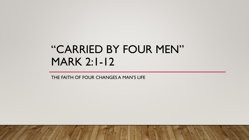# "CARRIED BY FOUR MEN" MARK 2:1-12

THE FAITH OF FOUR CHANGES A MAN'S LIFE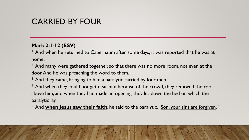### **Mark 2:1-12 (ESV)**

 $<sup>1</sup>$  And when he returned to Capernaum after some days, it was reported that he was at</sup> home.

 $2$  And many were gathered together, so that there was no more room, not even at the door. And he was preaching the word to them.

 $3$  And they came, bringing to him a paralytic carried by four men.

<sup>4</sup> And when they could not get near him because of the crowd, they removed the roof above him, and when they had made an opening, they let down the bed on which the paralytic lay.

<sup>5</sup> And **when Jesus saw their faith**, he said to the paralytic, "Son, your sins are forgiven."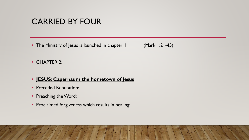• The Ministry of Jesus is launched in chapter 1: (Mark 1:21-45)

• CHAPTER 2:

#### • **JESUS: Capernaum the hometown of Jesus**

- Preceded Reputation:
- Preaching the Word:
- Proclaimed forgiveness which results in healing: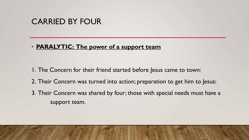### • **PARALYTIC: The power of a support team**

- 1. The Concern for their friend started before Jesus came to town:
- 2. Their Concern was turned into action; preparation to get him to Jesus:
- 3. Their Concern was shared by four; those with special needs must have a support team.